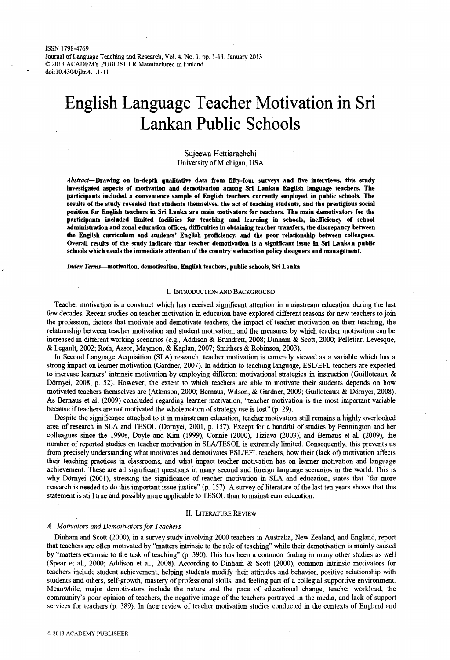**ISSN 1798-4769** Journal of Language Teaching and Research, Vol. 4, No. 1, pp. 1-11, January 2013 **© 2013 ACADEMY PUBLISHER Manufactured in Finland, doi: 10.4304/jltr.4.1.1-11**

# **English Language Teacher Motivation in Sri Lankan Public Schools**

## Sujeewa Hettiarachchi University of Michigan, USA

*A b s t r a c t*—Drawing on in-depth qualitative data from fifty-four surveys and five interviews, this study investigated aspects of motivation and demotivation among Sri Lankan English language teachers. The participants included a convenience sample of English teachers currently employed in public schools. The results of the study revealed that students themselves, the act of teaching students, and the prestigious social position for English teachers in Sri Lanka are main motivators for teachers. The main demotivators for the participants included limited facilities for teaching and learning in schools, inefficiency of school adm inistration and zonal education offices, difficulties in obtaining teacher transfers, the discrepancy between the English curriculum and students' English proficiency, and the poor relationship between colleagues. Overall results of the study indicate that teacher demotivation is a significant issue in Sri Lankan public schools which needs the immediate attention of the country's education policy designers and management.

*Index Terms*—motivation, demotivation, English teachers, public schools, Sri Lanka

## I. INTRODUCTION AND BACKGROUND

Teacher motivation is a construct which has received significant attention in mainstream education during the last few decades. Recent studies on teacher motivation in education have explored different reasons for new teachers to join the profession, factors that motivate and demotivate teachers, the impact of teacher motivation on their teaching, the relationship between teacher motivation and student motivation, and the measures by which teacher motivation can be increased in different working scenarios (e.g., Addison & Brundrett, 2008; Dinham & Scott, 2000; Pelletiar, Levesque, & Legault, 2002; Roth, Assor, Maymon, & Kaplan, 2007; Smithers & Robinson, 2003).

In Second Language Acquisition (SLA) research, teacher motivation is currently viewed as a variable which has a strong impact on learner motivation (Gardner, 2007). In addition to teaching language, ESL/EFL teachers are expected to increase learners' intrinsic motivation by employing different motivational strategies in instruction (Guilloteaux & Dornyei, 2008, p. 52). However, the extent to which teachers are able to motivate their students depends on how motivated teachers themselves are (Atkinson, 2000; Bemaus, Wilson, & Gardner, 2009; Guilloteaux & Dornyei, 2008). As Bemaus et al. (2009) concluded regarding learner motivation, "teacher motivation is the most important variable because if teachers are not motivated the whole notion of strategy use is lost" (p. 29).

Despite the significance attached to it in mainstream education, teacher motivation still remains a highly overlooked area of research in SLA and TESOL (Dornyei, 2001, p. 157). Except for a handful of studies by Pennington and her colleagues since the 1990s, Doyle and Kim (1999), Connie (2000), Tiziava (2003), and Bemaus et al. (2009), die number of reported studies on teacher motivation in SLA/TESOL is extremely limited. Consequently, this prevents us from precisely understanding what motivates and demotivates ESL/EFL teachers, how their (lack of) motivation affects their teaching practices in classrooms, and what impact teacher motivation has on learner motivation and language achievement. These are all significant questions in many second and foreign language scenarios in the world. This is why Dörnyei (2001), stressing the significance of teacher motivation in SLA and education, states that "far more research is needed to do this important issue justice" (p. 157). A survey of literature of the last ten years shows that this statement is still true and possibly more applicable to TESOL than to mainstream education.

#### II. LITERATURE REVIEW

#### *A. Motivators and Demotivators for Teachers*

Dinham and Scott (2000), in a survey study involving 2000 teachers in Australia, New Zealand, and England, report that teachers are often motivated by "matters intrinsic to the role of teaching" while their demotivation is mainly caused by "matters extrinsic to the task of teaching" (p. 390). This has been a common finding in many other studies as well (Spear et al., 2000; Addison et al., 2008). According to Dinham & Scott (2000), common intrinsic motivators for teachers include student achievement, helping students modify their attitudes and behavior, positive relationship with students and others, self-growth, mastery of professional skills, and feeling part of a collegial supportive environment. Meanwhile, major demotivators include the nature and the pace of educational change, teacher workload, the community's poor opinion of teachers, the negative image of the teachers portrayed in the media, and lack of support services for teachers (p. 389). In their review of teacher motivation studies conducted in the contexts of England and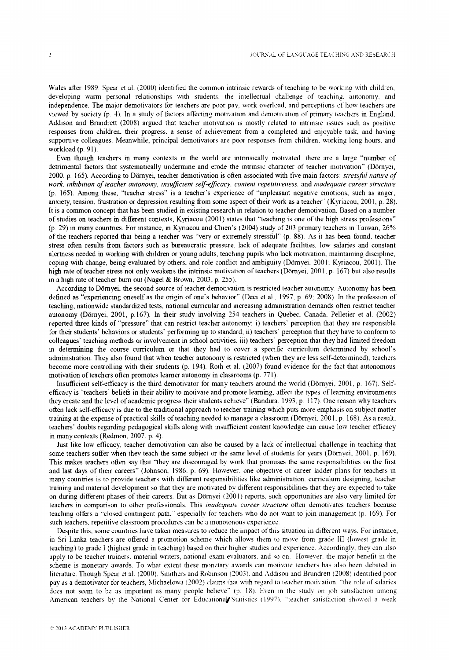Wales after 1989. Spear et al. (2000) identified the common intrinsic rewards of teaching to be working with children, developing warm personal relationships with students, the intellectual challenge of teaching, autonomy, and independence. The major demotivators for teachers are poor pay, work overload, and perceptions of how teachers are viewed by society (p. 4). In a study of factors affecting motivation and demotivation of primary teachers in England, Addison and Brundrett (2008) argued that teacher motivation is mostly related to intrinsic issues such as positive responses from children, their progress, a sense of achievement from a completed and enjoyable task, and having supportive colleagues. Meanwhile, principal demotivators are poor responses from children, working long hours, and **workload (p. 91).**

Even though teachers in many contexts in the world are intrinsically motivated, there are a large "number of detrimental factors that systematically undermine and erode the intrinsic character of teacher motivation" (Dörnyei, 2000, p. 165). According to Dörnyei, teacher demotivation is often associated with five main factors: *stressful nature of work, inhibition of teacher autonomy, insufficient self-efficacy, content repetitiveness,* **and** *inadequate career structure* (p. 165). Among these, "teacher stress" is a teacher's experience of "unpleasant negative emotions, such as anger, anxiety, tension, frustration or depression resulting from some aspect of their work as a teacher" (Kyriacou, 2001, p. 28). It is a common concept that has been studied in existing research in relation to teacher demotivation. Based on a number of studies on teachers in different contexts, Kyriacou (2001) states that "teaching is one of the high stress professions" (p. 29) in many countries. For instance, in Kyriacou and Chien's (2004) study of 203 primary teachers in Taiwan, 26% of the teachers reported that being a teacher was "very or extremely stressful" (p. 88). As it has been found, teacher stress often results from factors such as bureaucratic pressure, lack of adequate facilities, low salaries and constant alertness needed in working with children or young adults, teaching pupils who lack motivation, maintaining discipline, coping with change, being evaluated by others, and role conflict and ambiguity (Dörnyei, 2001; Kyriacou, 2001). The high rate of teacher stress not only weakens the intrinsic motivation of teachers (Dörnyei, 2001, p. 167) but also results in a high rate of teacher burn out (Nagel & Brown, 2003, p. 255).

According to Dörnyei, the second source of teacher demotivation is restricted teacher autonomy. Autonomy has been defined as "experiencing oneself as the origin of one's behavior" (Deci et al., 1997, p. 69: 2008). In the profession of teaching, nationwide standardized tests, national curricular and increasing administration demands often restrict teacher autonomy (Dörnyei, 2001, p.167). In their study involving 254 teachers in Quebec. Canada. Pelletier et al. (2002) reported three kinds of "pressure" that can restrict teacher autonomy: i) teachers' perception that they are responsible for their students' behaviors or students' performing up to standard, ii) teachers' perception that they have to conform to colleagues' teaching methods or involvement in school activities, iii) teachers' perception that they had limited freedom in determining the course curriculum or that they had to cover a specific curriculum determined by school's administration. They also found that when teacher autonomy is restricted (when they are less self-determined), teachers become more controlling with their students (p. 194). Roth et al. (2007) found evidence for the fact that autonomous motivation of teachers often promotes learner autonomy in classrooms (p. 771).

Insufficient self-efficacy is the third demotivator for many teachers around the world (Dörnyei, 2001, p. 167). Selfefficacy is "teachers' beliefs in their ability to motivate and promote learning, affect the types of learning environments they create and the level of academic progress their students achieve" (Bandura. 1993, p. 117). One reason why teachers **often lack self-efficacy is due to the traditional approach to teacher training w hich puts more em phasis on subject matter** training at the expense of practical skills of teaching needed to manage a classroom (Dörnvei, 2001, p. 168). As a result, **teachers' doubts regarding pedagogical skills along w'ith insufficient content know ledge can cause low teacher efficacy** in many contexts (Redmon, 2007, p. 4).

Just like low efficacy, teacher demotivation can also be caused by a lack of intellectual challenge in teaching that some teachers suffer when they teach the same subject or the same level of students for years (Dörnyei, 2001, p. 169). This makes teachers often say that "they are discouraged by work that promises the same responsibilities on the first and last days of their careers" (Johnson. 1986. p. 69). However, one objective of career ladder plans for teachers in many countries is to provide teachers with different responsibilities like administration, curriculum designing, teacher training and material development so that they are motivated by different responsibilities that they are expected to take on during different phases of their careers. But as Dömvei (2001) reports, such opportunities are also very limited for teachers in comparison to other professionals. This *inadequate career structure* often demotivates teachers because teaching offers a "closed contingent path." especially for teachers who do not want to join management (p. 169). For such teachers, repetitive classroom procedures can be a monotonous experience.

Despite this, some countries have taken measures to reduce the impact of this situation in different ways. For instance, in Sri Lanka teachers are offered a promotion scheme which allows them to move from grade III (lowest grade in **teaching) to grade I (highest grade in teaching) based on their higher studies and experience. A ccordingly, they can also** apply to be teacher trainers, material writers, national exam evaluators, and so on. However, the major benefit in the scheme is monetary awards. To what extent these monetary awards can motivate teachers has also been debated in literature. Though Spear et al. (2000). Smithers and Robinson (2003), and Addison and Brundrett (2008) identified poor pay as a demotivator for teachers, Michaelowa (2002) claims that with regard to teacher motivation, "the role of salaries does not seem to be as important as many people believe" (p. 18). Even in the study on job satisfaction among American teachers by the National Center for Educational Statistics (1997). "teacher satisfaction showed a weak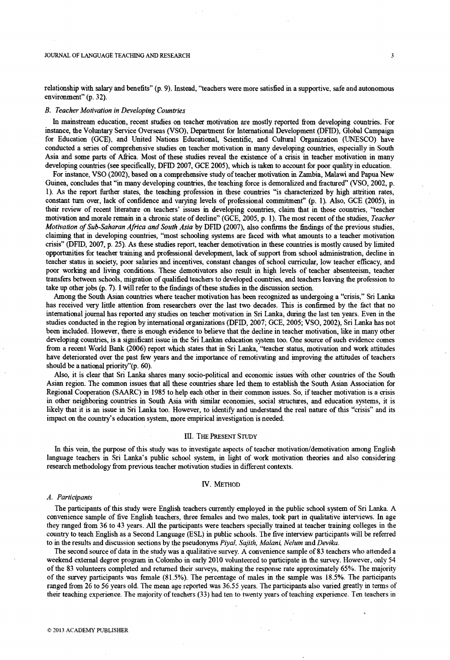relationship with salary and benefits" (p. 9). Instead, "teachers were more satisfied in a supportive, safe and autonomous environment" (p. 32).

# *B. Teacher Motivation in Developing Countries*

In mainstream education, recent studies on teacher motivation are mostly reported from developing countries. For instance, the Voluntary Service Overseas (VSO), Department for International Development (DFID), Global Campaign for Education (GCE), and United Nations Educational, Scientific, and Cultural Organization (UNESCO) have conducted a series of comprehensive studies on teacher motivation in many developing countries, especially in South Asia and some parts of Africa. Most of these studies reveal the existence of a crisis in teacher motivation in many developing countries (see specifically, DFID 2007, GCE 2005), which is taken to account for poor quality in education.

For instance, VSO (2002), based on a comprehensive study of teacher motivation in Zambia, Malawi and Papua New Guinea, concludes that "in many developing countries, the teaching force is demoralized and fractured" (VSO, 2002, p. 1). As the report further states, the teaching profession in these countries "is characterized by high attrition rates, constant turn over, lack of confidence and varying levels of professional commitment" (p. 1). Also, GCE (2005), in their review of recent literature on teachers' issues in developing countries, claim that in those countries, "teacher motivation and morale remain in a chronic state of decline" (GCE, 2005, p. 1). The most recent of the studies, *Teacher Motivation of Sub-Saharan Africa and South Asia* by DFID (2007), also confirms the findings of the previous studies, claiming that in developing countries, "most schooling systems are faced with what amounts to a teacher motivation crisis" (DFID, 2007, p. 25). As these studies report, teacher demotivation in these countries is mostly caused by limited opportunities for teacher training and professional development, lack of support from school administration, decline in teacher status in society, poor salaries and incentives, constant changes of school curricular, low teacher efficacy, and poor working and living conditions. These demotivators also result in high levels of teacher absenteeism, teacher transfers between schools, migration of qualified teachers to developed countries, and teachers leaving the profession to take up other jobs (p. 7). I will refer to die findings of these studies in the discussion section.

Among the South Asian countries where teacher motivation has been recognized as undergoing a "crisis," Sri Lanka has received very little attention from researchers over the last two decades. This is confirmed by the fact that no international journal has reported any studies on teacher motivation in Sri Lanka, during the last ten years. Even in the studies conducted in the region by international organizations (DFID, 2007; GCE, 2005; VSO, 2002), Sri Lanka has not been included. However, there is enough evidence to believe that the decline in teacher motivation, like in many other developing countries, is a significant issue in the Sri Lankan education system too. One source of such evidence comes from a recent World Bank (2006) report which states that in Sri Lanka, "teacher status, motivation and work attitudes have deteriorated over the past few years and the importance of remotivating and improving the attitudes of teachers should be a national priority"(p. 60).

Also, it is clear that Sri Lanka shares many socio-political and economic issues with other countries of the South Asian region. The common issues that all these countries share led them to establish the South Asian Association for Regional Cooperation (SAARC) in 1985 to help each other in their common issues. So, if teacher motivation is a crisis in other neighboring countries in South Asia with similar economies, social structures, and education systems, it is likely that it is an issue in Sri Lanka too. However, to identify and understand the real nature of this "crisis" and its impact on the country's education system, more empirical investigation is needed.

## III. THE PRESENT STUDY

In this vein, the purpose of this study was to investigate aspects of teacher motivation/demotivation among English language teachers in Sri Lanka's public school system, in light of work motivation theories and also considering research methodology from previous teacher motivation studies in different contexts.

## IV. METHOD

## *A. Participants*

The participants of this study were English teachers currently employed in the public school system of Sri Lanka. A convenience sample of five English teachers, three females and two males, took part in qualitative interviews. In age they ranged from 36 to 43 years. All the participants were teachers specially trained at teacher training colleges in the country to teach English as a Second Language (ESL) in public schools. The five interview participants will be referred to in the results and discussion sections by the pseudonyms *Piyal, Sajith, Malani, Nelum* and *Devika.*

The second source of data in the study was a qualitative survey. A convenience sample of 83 teachers who attended a weekend external degree program in Colombo in early 2010 volunteered to participate in the survey. However, only 54 of the 83 volunteers completed and returned their surveys, making the response rate approximately 65%. The majority of the survey participants was female (81.5%). The percentage of males in the sample was 18.5%. The participants ranged from 26 to 56 years old. The mean age reported was 36.55 years. The participants also varied greatly in terms of their teaching experience. The majority of teachers (33) had ten to twenty years of teaching experience. Ten teachers in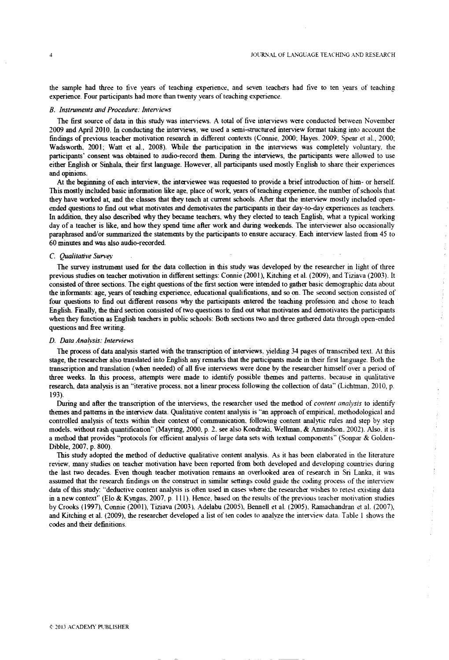the sample had three to five years of teaching experience, and seven teachers had five to ten years of teaching experience. Four participants had more than twenty years of teaching experience.

## *B. Instruments aid Procedure: Interviews*

The first source of data in this study was interviews. A total of five interviews were conducted between November 2009 and April 2010. In conducting the interviews, we used a semi-structured interview format taking into account the findings of previous teacher motivation research in different contexts (Connie, 2000. Hayes. 2009; Spear et al., 2000; Wadsworth, 2001; Watt et al., 2008). While the participation in the interviews was completely voluntary, the participants' consent was obtained to audio-record them. During the interviews, the participants were allowed to use either English or Sinhala, their first language. However, all participants used mostly English to share their experiences and opinions.

At the begriming of each interview, the interviewee was requested to provide a brief introduction of him- or herself. This mostly included basic information like age, place of work, years of teaching experience, the number of schools that they have worked at, and the classes that they teach at current schools. After that the interview mostly included openended questions to find out what motivates and demotivates the participants in their day-to-day experiences as teachers. In addition, they also described why they became teachers, why they elected to teach English, what a typical working day of a teacher is like, and how they spend time after work and during weekends. The interviewer also occasionally paraphrased and/or summarized the statements by the participants to ensure accuracy. Each interview lasted from 45 to 60 minutes and was also audio-recorded.

## *C. Qualitative Survey*

The survey instrument used for the data collection in this study was developed by the researcher in light of three previous studies on teacher motivation in different settings: Connie (2001), Kitching et al. (2009), and Tiziava (2003). It consisted of three sections. The eight questions of the first section were intended to gather basic demographic data about the informants: age, years of teaching experience, educational qualifications, and so on. The second section consisted of four questions to find out different reasons why the participants entered the teaching profession and chose to teach English. Finally, the third section consisted of two questions to find out what motivates and demotivates the participants when they function as English teachers in public schools: Both sections two and three gathered data through open-ended questions and free writing.

## *D. Data Analysis: Interviews*

The process of data analysis started with the transcription of interviews, yielding 34 pages of transcribed text. At this stage, the researcher also translated into English any remarks that the participants made in their first language. Both the transcription and translation (when needed) of all five interviews were done by the researcher himself over a period of three weeks. In this process, attempts were made to identify possible themes and patterns, because in qualitative research, data analysis is an "iterative process, not a linear process following the collection of data" (Lichtman, 2010, p. 193).

During and after the transcription of the interviews, the researcher used the method of *content analysis* to identify themes and patterns in the interview data. Qualitative content analysis is "an approach of empirical, methodological and controlled analysis of texts within their context of communication, following content analytic rules and step by step models, without rash quantification" (Mayring, 2000, p. 2. see also Kondraki, Wellman, & Amundson, 2002). Also, it is a method that provides "protocols for efficient analysis of large data sets with textual components" (Sonpar & Golden-Dibble, 2007, p. 800).

This study adopted the method of deductive qualitative content analysis. As it has been elaborated in the literature review', many studies on teacher motivation have been reported from both developed and developing countries during the last two decades. Even though teacher motivation remains an overlooked area of research in Sri Lanka, it was assumed that the research findings on the construct in similar settings could guide the coding process of the interview data of this study: "deductive content analysis is often used in cases where the researcher wishes to retest existing data in a new context" (Elo & Kyngas, 2007, p. 111). Hence, based on the results of the previous teacher motivation studies by Crooks (1997), Connie (2001), Tiziava (2003). Adelabu (2005), Bennell et al. (2005), Ramachandran et al. (2007), and Kitching et al. (2009), the researcher developed a list of ten codes to analyze the interview data. Table 1 shows the codes and their definitions.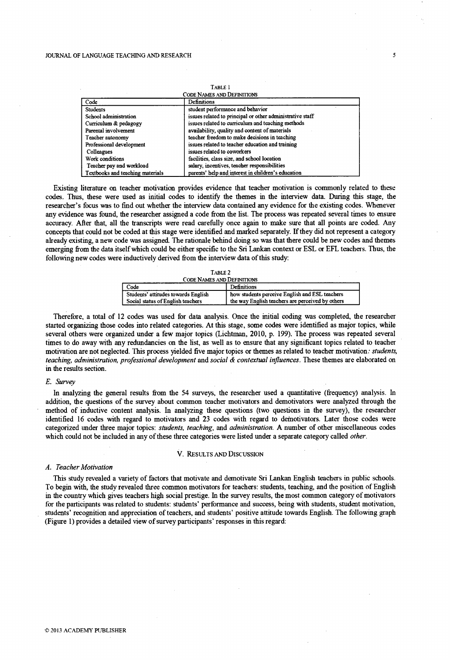| TABLE I                           |                                                           |  |
|-----------------------------------|-----------------------------------------------------------|--|
| <b>CODE NAMES AND DEFINITIONS</b> |                                                           |  |
| Code                              | Definitions                                               |  |
| <b>Students</b>                   | student performance and behavior                          |  |
| School administration             | issues related to principal or other administrative staff |  |
| Curriculum & pedagogy             | issues related to curriculum and teaching methods         |  |
| Parental involvement              | availability, quality and content of materials            |  |
| Teacher autonomy                  | teacher freedom to make decisions in teaching             |  |
| Professional development          | issues related to teacher education and training          |  |
| Colleagues                        | issues related to coworkers                               |  |
| Work conditions                   | facilities, class size, and school location               |  |
| Teacher pay and workload          | salary, incentives, teacher responsibilities              |  |
| Textbooks and teaching materials  | parents' help and interest in children's education        |  |

**Table 1**

Existing literature on teacher motivation provides evidence that teacher motivation is commonly related to these codes. Thus, these were used as initial codes to identify the themes in the interview data. During this stage, the researcher's focus was to find out whether the interview data contained any evidence for the existing codes. Whenever any evidence was found, die researcher assigned a code from the list. The process was repeated several times to ensure accuracy. After that, all the transcripts were read carefully once again to make sure that all points are coded. Any concepts that could not be coded at this stage were identified and marked separately. If they did not represent a category already existing, a new code was assigned. The rationale behind doing so was that there could be new codes and themes emerging from the data itself which could be either specific to the Sri Lankan context or ESL or EFL teachers. Thus, the following new codes were inductively derived from the interview data of this study:

| TABLE 2                             |                                                  |
|-------------------------------------|--------------------------------------------------|
| <b>CODE NAMES AND DEFINITIONS</b>   |                                                  |
| Code                                | Definitions                                      |
| Students' attitudes towards English | how students perceive English and ESL teachers   |
| Social status of English teachers   | the way English teachers are perceived by others |

Therefore, a total of 12 codes was used for data analysis. Once the initial coding was completed, the researcher started organizing those codes into related categories. At this stage, some codes were identified as major topics, while several others were organized under a few major topics (Lichtman, 2010, p. 199). The process was repeated several times to do away with any redundancies on the list, as well as to ensure that any significant topics related to teacher motivation are not neglected. This process yielded five major topics or themes as related to teacher motivation: *students, teaching, administration, professional development* and *social & contextual influences.* These themes are elaborated on in the results section.

#### *E. Survey*

In analyzing the general results from the 54 surveys, the researcher used a quantitative (frequency) analysis. In addition, the questions of the survey about common teacher motivators and demotivators were analyzed through the method of inductive content analysis. In analyzing these questions (two questions in the survey), the researcher identified 16 codes with regard to motivators and 23 codes with regard to demotivators. Later those codes were categorized under three major topics: *students, teaching,* and *administration.* A number of other miscellaneous codes which could not be included in any of these three categories were listed under a separate category called *other.*

#### V. RESULTS AND DISCUSSION

# *A. Teacher Motivation*

This study revealed a variety of factors that motivate and demotivate Sri Lankan English teachers in public schools. To begin with, the study revealed three common motivators for teachers: students, teaching, and the position of English in the country which gives teachers high social prestige. In the survey results, the most common category of motivators for the participants was related to students: students' performance and success, being with students, student motivation, students' recognition and appreciation of teachers, and students' positive attitude towards English. The following graph (Figure 1) provides a detailed view of survey participants' responses in this regard: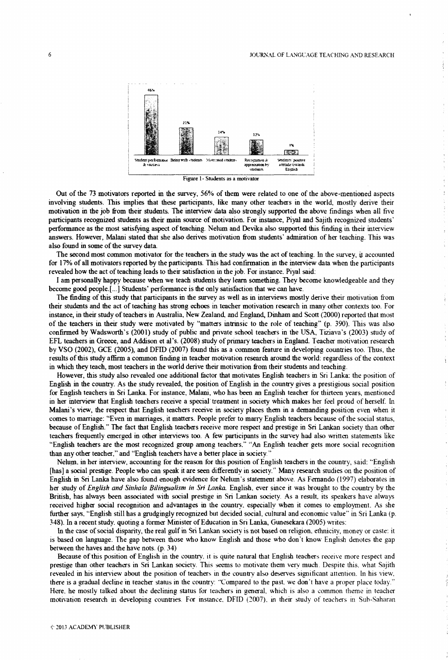## JOURNAL OF LANGUAGE TEACHING AND RESEARCH

Ť.



Figure 1- Students as a motivator

Out of the 73 motivators reported in the survey, 56% of them were related to one of the above-mentioned aspects involving students. This implies that these participants, like many other teachers in the world, mostly derive their motivation in the job from their students. The interview' data also strongly supported die above findings when all five participants recognized students as their main source of motivation. For instance, Piyal and Sajith recognized students' performance as the most satisfying aspect of teaching. Nelum and Devika also supported this finding in their interview answers. However, Malani stated that she also derives motivation from students' admiration of her teaching. This was also found in some of the survey data.

The second most common motivator for the teachers in the study was the act of teaching. In the survey, it accounted for 17% of all motivators reported by the participants. This had confirmation in the interview data when the participants revealed how the act of teaching leads to their satisfaction in the job. For instance. Piyal said:

I am personally happy because when we teach students they learn something. They become knowledgeable and they become good people.[...] Students' performance is the only satisfaction that we can have.

The finding of this study that participants in die survey as well as in interviews mostly derive their motivation from their students and the act of teaching has strong echoes in teacher motivation research in many other contexts too. For instance, in their study of teachers in Australia, New Zealand, and England, Dinham and Scott (2000) reported that most of the teachers in their study were motivated by "matters intrinsic to the role of teaching" (p. 390). This was also confirmed by Wadsworth's (2001) study of public and private school teachers in the USA, Tiziava's (2003) study of EFL teachers in Greece, and Addison et al's. (2008) study of primary teachers in England. Teacher motivation research by VSO (2002), GCE (2005), and DFID (2007) found this as a common feature in developing countries too. Thus, the results of this study affirm a common finding in teacher motivation research around the world: regardless of the context in which they teach, most teachers in the world derive their motivation from their students and teaching.

However, this study also revealed one additional factor that motivates English teachers in Sri Lanka: the position of English in the country. As the study revealed, the position of English in the country gives a prestigious social position for English teachers in Sri Lanka. For instance, Malani, who has been an English teacher tor thirteen years, mentioned in her interview that English teachers receive a special treatment in society which makes her feel proud of herself. In Malani's view, the respect that English teachers receive in society places them in a demanding position even when it comes to marriage: "Even in marriages, it matters. People prefer to marry English teachers because of the social status, because of English." The fact that English teachers receive more respect and prestige in Sri Lankan society than other teachers frequently emerged in other interviews too. A few participants in the survey had also written statements like "English teachers are the most recognized group among teachers." "An English teacher gets more social recognition than any other teacher," and "English teachers have a better place in society "

Nelum. in her interview, accounting for the reason for this position of English teachers in the country, said: "English [has] a social prestige. People who can speak it are seen differently in society." Many research studies on the position of English in Sri Lanka have also found enough evidence for Nelum's statement above. As Fernando (1997) elaborates in her study of *English and Sinhala Bilingualism in Sri Lanka.* English, ever since it was brought to the country by the British, has always been associated with social prestige in Sri Lankan society. As a result, its speakers have always received higher social recognition and advantages in the country, especially when it comes to employment. As she further says, "English still has a grudgingly recognized but decided social, cultural and economic value" in Sri Lanka (p. 348). In a recent study, quoting a former Minister of Education in Sri Lanka, Gunesekara (2005) writes:

In the case of social disparity, the real gulf in Sri Lankan society is not based on religion, ethnicity, money or caste; it is based on language. The gap between those who know English and those who don't know English denotes the gap between the haves and the have nots. (p. 34)

Because of this position of English in the country, it is quite natural that English teachers receive more respect and prestige than other teachers in Sri Lankan society. This seems to motivate them very much. Despite this, what Sajith revealed in his interview about the position of teachers in the country also deserves significant attention. In his view', there is a gradual decline in teacher status in the country: "Compared to the past, we don't have a proper place today." Here, he mostly talked about the declining status for teachers in general, which is also a common theme in teacher motivation research in developing countries. For instance. DFID (2007), in their study of teachers in Sub-Saharan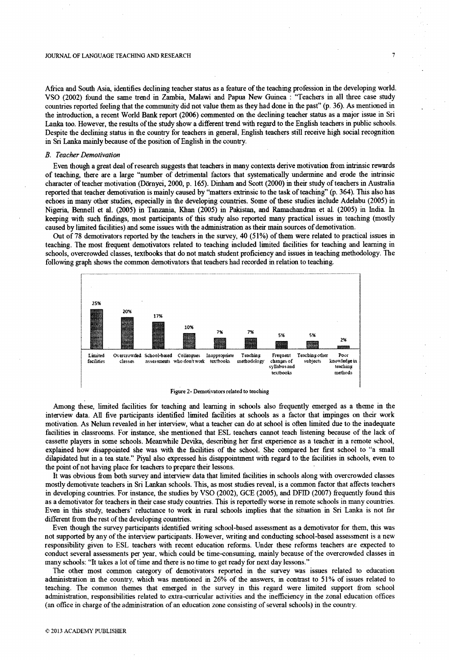#### JOURNAL OF LANGUAGE TEACHING AND RESEARCH

Africa and South Asia, identifies declining teacher status as a feature of the teaching profession in the developing world. VSO (2002) found the same trend in Zambia, Malawi and Papua New Guinea : "Teachers in all three case study countries reported feeling that the community did not value them as they had done in the past" (p. 36). As mentioned in the introduction, a recent World Bank report (2006) commented on the declining teacher status as a major issue in Sri Lanka too. However, the results of the study show a different trend with regard to the English teachers in public schools. Despite the declining status in the country for teachers in general, English teachers still receive high social recognition in Sri Lanka mainly because of the position of English in the country.

## *B. Teacher Demotivation*

Even though a great deal of research suggests that teachers in many contexts derive motivation from intrinsic rewards of teaching, there are a large "number of detrimental factors that systematically undermine and erode the intrinsic character of teacher motivation (Dornyei, 2000, p. 165). Dinham and Scott (2000) in their study of teachers in Australia reported that teacher demotivation is mainly caused by "matters extrinsic to the task of teaching" (p. 364). This also has echoes in many other studies, especially in the developing countries. Some of these studies include Adelabu (2005) in Nigeria, Bennell et al. (2005) in Tanzania, Khan (2005) in Pakistan, and Ramachandran et al. (2005) in India. In keeping with such findings, most participants of this study also reported many practical issues in teaching (mostly caused by limited facilities) and some issues with the administration as their main sources of demotivation.

Out of 78 demotivators reported by the teachers in the survey, 40 (51%) of them were related to practical issues in teaching. The most frequent demotivators related to teaching included limited facilities for teaching and learning in schools, overcrowded classes, textbooks that do not match student proficiency and issues in teaching methodology. The following graph shows the common demotivators that teachers had recorded in relation to teaching.



Figure 2- Demotivators related to teaching

Among these, limited facilities for teaching and learning in schools also frequently emerged as a theme in the interview data. All five participants identified limited facilities at schools as a factor that impinges on their work motivation. As Nelum revealed in her interview, what a teacher can do at school is often limited due to the inadequate facilities in classrooms. For instance, she mentioned that ESL teachers cannot teach listening because of the lack of cassette players in some schools. Meanwhile Devika, describing her first experience as a teacher in a remote school, explained how disappointed she was with the facilities of the school. She compared her first school to "a small dilapidated hut in a tea state." Piyal also expressed his disappointment with regard to the facilities in schools, even to the point of not having place for teachers to prepare their lessons.

It was obvious from both survey and interview data that limited facilities in schools along with overcrowded classes mostly demotivate teachers in Sri Lankan schools. This, as most studies reveal, is a common factor that affects teachers in developing countries. For instance, the studies by VSO (2002), GCE (2005), and DFID (2007) frequently found this as a demotivator for teachers in their case study countries. This is reportedly worse in remote schools in many countries. Even in this study, teachers' reluctance to work in rural schools implies that the situation in Sri Lanka is not far different from the rest of the developing countries.

Even though the survey participants identified writing school-based assessment as a demotivator for them, this was not supported by any of the interview participants. However, writing and conducting school-based assessment is a new responsibility given to ESL teachers with recent education reforms. Under these reforms teachers are expected to conduct several assessments per year, which could be time-consuming, mainly because of the overcrowded classes in many schools: "It takes a lot of time and there is no time to get ready for next day lessons."

The other most common category of demotivators reported in the survey was issues related to education administration in the country, which was mentioned in 26% of the answers, in contrast to 51% of issues related to teaching. The common themes that emerged in the survey in this regard were limited support from school administration, responsibilities related to extra-curricular activities and the inefficiency in the zonal education offices (an office in charge of the administration of an education zone consisting of several schools) in the country.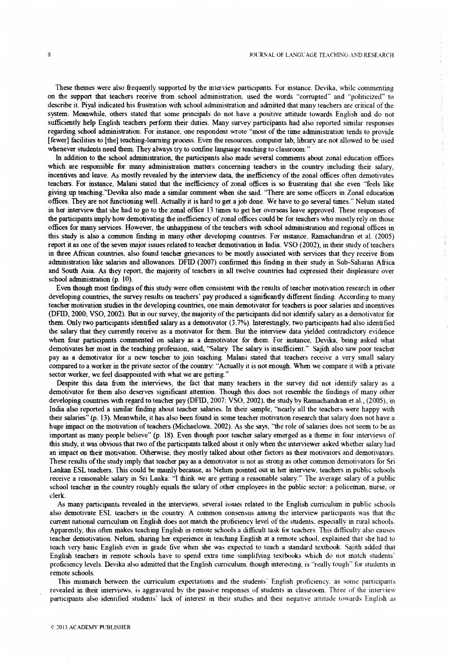$\begin{array}{c} \mathbf{1} \\ \mathbf{1} \\ \mathbf{1} \end{array}$ 

 $\frac{1}{2}$ 

÷

 $\frac{1}{4}$  $\frac{1}{2}$ 

These themes were also frequently supported by the interview participants. For instance. Devika, while commenting on the support that teachers receive from school administration, used the words "corrupted" and "politicized" to describe it. Piyal indicated his frustration with school administration and admitted that many teachers are critical of the system. Meanwhile, others stated that some principals do not have a positive attitude towards English and do not sufficiently help English teachers perform their duties. Many survey participants had also reported similar responses regarding school administration. For instance, one respondent wrote "most of the time administration tends to provide [fewer] facilities to [the] teaching-learning process. Even the resources, computer lab, library are not allowed to be used whenever students need them. They always try to confine language teaching to classroom."

In addition to the school administration, the participants also made several comments about zonal education offices which are responsible for many administration matters concerning teachers in the country including their salary, incentives and leave. As mostly revealed by the interview data, the inefficiency of the zonal offices often demotivates teachers. For instance, Malani stated that the inefficiency of zonal offices is so frustrating that she even "feels like giving up teaching.''Devika also made a similar comment when she said. "There are some officers in Zonal education offices. They are not functioning well. Actually it is hard to get a job done. We have to go several times." Nelum stated in her interview that she had to go to the zonal office 13 times to get her overseas leave approved. These responses of the participants imply how demotivating the inefficiency of zonal offices could be for teachers who mostly rely on those offices for many services. However, the unhappiness of the teachers with school administration and regional offices in this study is also a common finding in many other developing countries. For instance, Ramachandran et al. (2005) report it as one of the seven major issues related to teacher demotivation in India. VSO (2002), in their study of teachers in three African countries, also found teacher grievances to be mostly associated with services that they receive from administration like salaries and allowances. DFID (2007) confirmed this finding in their study in Sub-Saharan Africa and South Asia. As they report, the majority of teachers in all twelve countries had expressed their displeasure over school administration (p. 10).

Even though most findings of this study were often consistent with the results of teacher motivation research in other developing countries, the survey results on teachers' pay produced a significantly different finding. According to many teacher motivation studies in the developing countries, one main demotivator for teachers is poor salaries and incentives (DFID, 2000; VSO, 2002). But in our survey, the majority of the participants did not identify salary as a demotivator for them. Only two participants identified salary as a demotivator (3.7%). Interestingly, two participants had also identified the salary that they currently receive as a motivator for them. But the interview data yielded contradictory evidence when four participants commented on salary as a demotivator for diem. For instance, Devika, being asked what demotivates her most in die teaching profession, said, "Salary. The salary is insufficient." Sajith also saw poor teacher pay as a demotivator for a new teacher to join teaching. Malani stated that teachers receive a very small salary compared to a worker in the private sector of the country; "Actually it is not enough. When we compare it with a private sector worker, we feel disappointed with what we are getting."

Despite this data from the interviews, the fact that many teachers in the survey did not identify salary as a demotivator for them also deserves significant attention. Though this does not resemble the findings of many other developing countries with regard to teacher pay (DFID, 2007; VSO, 2002), the study by Ramachandran et al., (2005), in India also reported a similar finding about teacher salaries. In their sample, "nearly all the teachers were happy with their salaries" (p. 13). Meanwhile, it has also been found in some teacher motivation research that salary does not have a huge impact on the motivation of teachers (Michaelowa, 2002). As she says, "the role of salaries does not seem to be as important as many people believe" (p. 18). Even though poor teacher salary emerged as a theme in four interviews of this study, it was obvious that two of the participants talked about it only when the interviewer asked whether salary had an impact on their motivation. Otherwise, they mostly talked about other factors as their motivators and demotivators. These results of the study imply that teacher pay as a demotivator is not as strong as other common demotivators for Sri Lankan ESL teachers. This could be mainly because, as Nelum pointed out in her interview, teachers in public schools receive a reasonable salary in Sri Lanka: "I think we are getting a reasonable salary." The average salary of a public school teacher in the country roughly equals the salary of other employees in the public sector: a policeman, nurse, or clerk.

As many participants revealed in the interviews, several issues related to the English curriculum in public schools also demotivate ESL teachers in the country. A common consensus among the interview participants was that the current national curriculum on English does not match the proficiency level of the students, especially in rural schools. Apparently, this often makes teaching English in remote schools a difficult task for teachers. This difficulty also causes teacher demotivation. Nelum, sharing her experience in teaching English at a remote school, explained that she had to teach very basic English even in grade five when she was expected to teach a standard textbook. Sajith added that English teachers in remote schools have to spend extra time simplifying textbooks which do not match students' proficiency levels. Devika also admitted that the English curriculum, though interesting, is "really tough" for students in remote schools.

This mismatch between the curriculum expectations and the students' English proficiency, as some participants revealed in their interviews, is aggravated by the passive responses of students in classroom. Three of the interview participants also identified students' lack of interest in their studies and their negative attitude towards English as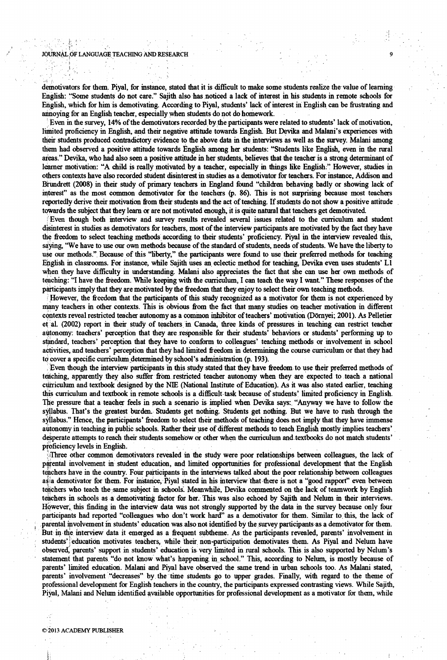## JOURNAL, OF LANGUAGE TEACHING AND RESEARCH

demotivators for them. Piyal, for instance, stated that it is difficult to make some students realize the value of learning English: "Some students do not care." Sajith also has noticed a lack of interest in his students in remote schools for English, which for him is demotivating. According to Piyal, students' lack of interest in English can be frustrating and annoying for an English teacher, especially when students do not do homework.

Even in die survey, 14% of the demotivators recorded by the participants were related to students' lack of motivation, limited proficiency in English, and their negative attitude towards English. But Devika and Malani's experiences with their students produced contradictory evidence to the above data in the interviews as well as the survey. Malani among them had observed a positive attitude towards English among her students: "Students like English, even in the rural areas." Devika, who had also seen a positive attitude in her students, believes that the teacher is a strong determinant of learner motivation: "A child is really motivated by a teacher, especially in things like English." However, studies in others contexts have also recorded student disinterest in studies as a demotivator for teachers. For instance, Addison and Birundrett (2008) in their study of primary teachers in England found "children behaving badly or showing lack of interest" as the most common demotivator for the teachers (p. 86). This is not surprising because most teachers reportedly derive their motivation from their students and the act of teaching. If students do not show a positive attitude towards the subject that they learn or are not motivated enough, it is quite natural that teachers get demotivated

Even though both interview and survey results revealed several issues related to the curriculum and student disinterest in studies as demotivators for teachers, most of the interview participants are motivated by the fact they have the freedom to select teaching methods according to their students' proficiency. Piyal in the interview revealed this, saying, "We have to use our own methods because of the standard of students, needs of students. We have the liberty to use our methods." Because of this "liberty," the participants were found to use their preferred methods for teaching English in classrooms. For instance, while Sajith uses an eclectic method for teaching, Devika even uses students' LI when they have difficulty in understanding. Malani also appreciates the fact that she can use her own methods of teaching: "I have the freedom. While keeping with the curriculum, I can teach the way I want" These responses of the participants imply that they are motivated by the freedom that they enjoy to select their own teaching methods.

I However, the freedom that the participants of this study recognized as a motivator for them is not experienced by many teachers in other contexts. This is obvious from the fret that many studies on teacher motivation in different contexts reveal restricted teacher autonomy as a common inhibitor of teachers' motivation (Dörnyei; 2001). As Pelletier et al. (2002) report in their study of teachers in Canada, three kinds of pressures in teaching can restrict teacher autonomy: teachers' perception that they are responsible for their students' behaviors or students' performing up to standard, teachers' perception that they have to conform to colleagues' teaching methods or involvement in school activities, and teachers' perception that they had limited freedom in determining the course curriculum or that they had to cover a specific curriculum determined by school's administration (p. 193).

Even though the interview participants in this study stated that they have freedom to use their preferred methods of teaching, apparently they also suffer from restricted teacher autonomy when they are expected to teach a national curriculum and textbook designed by the NIE (National Institute of Education). As it was also stated earlier, teaching this curriculum and textbook in remote schools is a difficult task because of students' limited proficiency in English. The pressure that a teacher feels in such a scenario is implied when Devika says: "Anyway we have to follow the syllabus. That's the greatest burden. Students get nothing. Students get nothing. But we have to rush through the syllabus." Hence, the participants' freedom to select their methods of teaching does not imply that they have immense autonomy in teaching in public schools. Rather their use of different methods to teach English mostly implies teachers' desperate attempts to reach their students somehow or other when the curriculum and textbooks do not match students' proficiency levels in English.

Three other common demotivators revealed in the study were poor relationships between colleagues, the lack of parental involvement in student education, and limited opportunities for professional development that the English teachers have in the country. Four participants in the interviews talked about the poor relationship between colleagues asia demotivator for them. For instance, Piyal stated in his interview that there is not a "good rapport" even between teachers who teach the same subject in schools. Meanwhile, Devika commented on the lack of teamwork by English teachers in schools as a demotivating factor for her. This was also echoed by Sajith and Nelum in their interviews. However, this finding in the interview data was not strongly supported by the data in the survey because only four participants had reported "colleagues who don't work hard" as a demotivator for them. Similar to; this, the lack of parental involvement in students' education was also not identified by the survey participants as a demotivator for them. But in the interview data it emerged as a frequent subtheme. As the participants revealed, parents' involvement in students' education motivates teachers, while their non-participation demotivates them. As Piyal and Nelum have observed^ parents' support in students' education is very limited in rural schools. This is also supported by Nelum's statement that parents "do not know what's happening in school." This, according to Nelum, is mostly because of parents' limited education. Malani and Piyal have observed the same trend in urban schools too. As Malani stated, parents' involvement "decreases" by the time students go to upper grades. Finally, with regard to the theme of professional development for English teachers in the country, the participants expressed contrasting views. While Sajith, Piyal, Malani and Nelum identified available opportunities for professional development as a motivator for them, while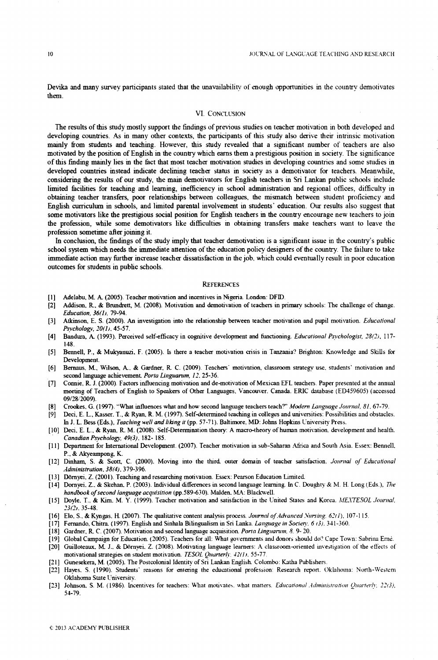Devika and many survey participants stated that the unavailability of enough opportunities in the country demotivates them.

# VI. CONCLUSION

The results of this study mostly support the findings of previous studies on teacher motivation in both developed and developing countries. As in many other contexts, the participants of this study also derive their intrinsic motivation mainly from students and teaching. However, this study revealed that a significant number of teachers are also motivated by the position of English in the country which earns them a prestigious position in society. The significance of this finding mainly lies in the feet that most teacher motivation studies in developing countries and some studies in developed countries instead indicate declining teacher status in society as a demotivator for teachers. Meanwhile, considering the results of our study, the main demotivators for English teachers in Sri Lankan public schools include limited facilities for teaching and learning, inefficiency in school administration and regional offices, difficulty in obtaining teacher transfers, poor relationships between colleagues, the mismatch between student proficiency and English curriculum in schools, and limited parental involvement in students' education. Our results also suggest that some motivators like the prestigious social position for English teachers in the country encourage new teachers to join the profession, while some demotivators like difficulties in obtaining transfers make teachers want to leave the profession sometime after joining it.

In conclusion, the findings of the study imply that teacher demotivation is a significant issue in the country's public school system which needs the immediate attention of the education policy designers of the country. The failure to take immediate action may further increase teacher dissatisfaction in the job. which could eventually result in poor education outcomes for students in public schools.

## **REFERENCES**

- [1] Adelabu, M. A. (2005). Teacher motivation and incentives in Nigeria. London: DFID.
- [2] Addison, R., & Bnmdrett, M. (2008). Motivation and demotivation of teachers in primary schools: The challenge of change. *Education, 36(1), 79-94.*
- [3] Atkinson, E. S. (2000). An investigation into the relationship between teacher motivation and pupil motivation. *Educational Psychology, 20(1)*, 45-57.
- [4] Bandura, A. (1993). Perceived self-efficacy in cognitive development and functioning. *Educational Psychologist*, 28(2), 117-148.
- [5] Bennell, P., & Mukyanuzi, F. (2005). Is there a teacher motivation crisis in Tanzania? Brighton: Knowledge and Skills for Development.
- [6] Bernaus, M., Wilson, A., & Gardner, R. C. (2009). Teachers' motivation, classroom strategy use, students' motivation and second language achievement. Porta Linguarum, 12, 25-36.
- [7] Connie, R. J. (2000). Factors influencing motivation and de-motivation of Mexican EFL teachers. Paper presented at the annual meeting of Teachers of English to Speakers of Other Languages. Vancouver. Canada. ERIC database (ED459605) (accessed 09/28-2009).
- [8] Crookes, G. (1997). "What influences what and how second language teachers teach?" *Modern Language Journal*, 81, 67-79.
- [9] Deci, E. L., Kasser. T., & Ryan, R. M. (1997). Self-determined teaching in colleges and universities: Possibilities and obstacles. In J. L. Bess (Eds.), *Teaching well and liking it* (pp. 57-71). Baltimore, MD: Johns Hopkins University Press.
- [10] Deci, E. L., & Ryan, R. M. (2008). Self-Determination theory: A macro-theory of human motivation development and health. *Canadian Psychology*, 49(3), 182-185.
- [11] Department for International Development. (2007). Teacher motivation m sub-Saharan Africa and South Asia. Essex: Bennell. P., & Akyeampong, K.
- [12] Dinham, S. & Scott, C. (2000). Moving into the third. outer domain of teacher satisfaction. *Journal of Educational A d m in i s tr a tio n . 3 8 ( 4 ) ,* 379-396.
- [13] Domyei, Z. (2001). Teaching and researching motivation. Essex: Pearson Education Limited.
- [14] Dornyei. Z., & Skehan, P. (2003). Individual differences in second language learning. In C. Doughty & M. H. Long (Eds.), *The handbook of second language acquisition* (pp.589-630). Malden, MA: Blackwell.
- [15] Doyle. T., & Kim. M. **Y.** (1999). Teacher motivation and satisfaction in the United States and Korea. *MEXTESOL Journal, 2 3 ( 2 ) .* 35-48.
- [16] Elo, S., & Kyngas, H. (2007). The qualitative content analysis process. *Journal of Advanced Nursing. 62(1)*, 107-115.
- [17] Fernando, Chitra. (1997). English and Sinhala Bilingualism in Sri Lanka. *Language in Society. 6 (3)*. 341-360.
- [18] Gardner, R. C. (2007). Motivation and second language acquisition. Porta Linguarum, 8, 9-20.
- [19] Global Campaign for Education. (2005). Teachers for all: What governments and donors should do? Cape Town: Sabrina Erne.
- [20] Guilloteaux, M. J.. & Domyei. Z. (2008). Motivating language learners: A classroom-oriented investigation of the effects of motivational strategies on student motivation. *TESOL Quarterly*, 42(1), 55-77.
- [21] Gunesekera, M. (2005). The Postcolonial Identity of Sri Lankan English. Colombo: Katha Publishers.
- [22] Haves. S. (1990). Students' reasons for entering the educational profession: Research report. Oklahoma: North-Western Oklahoma State University.
- [23] Johnson. S. M. (1986). Incentives for teachers: What motivates, what matters. *Educational Administration Quarterly, 22(3),* 54-79.